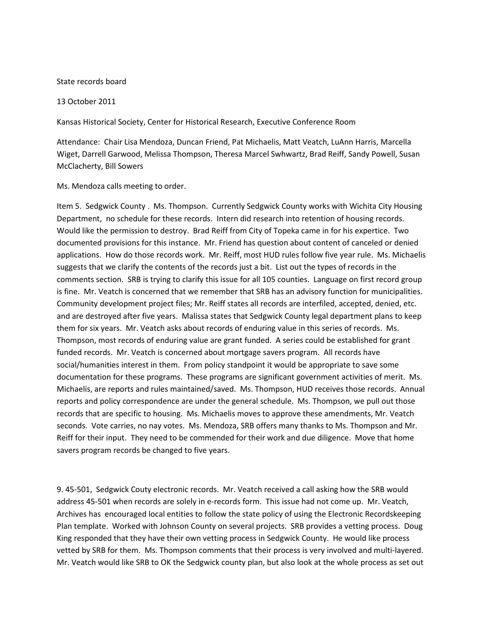## State records board

## 13 October 2011

Kansas Historical Society, Center for Historical Research, Executive Conference Room

Attendance: Chair Lisa Mendoza, Duncan Friend, Pat Michaelis, Matt Veatch, LuAnn Harris, Marcella Wiget, Darrell Garwood, Melissa Thompson, Theresa Marcel Swhwartz, Brad Reiff, Sandy Powell, Susan McClacherty, Bill Sowers

Ms. Mendoza calls meeting to order.

Item 5. Sedgwick County . Ms. Thompson. Currently Sedgwick County works with Wichita City Housing Department, no schedule for these records. Intern did research into retention of housing records. Would like the permission to destroy. Brad Reiff from City of Topeka came in for his expertice. Two documented provisions for this instance. Mr. Friend has question about content of canceled or denied applications. How do those records work. Mr. Reiff, most HUD rules follow five year rule. Ms. Michaelis suggests that we clarify the contents of the records just a bit. List out the types of records in the comments section. SRB is trying to clarify this issue for all 105 counties. Language on first record group is fine. Mr. Veatch is concerned that we remember that SRB has an advisory function for municipalities. Community development project files; Mr. Reiff states all records are interfiled, accepted, denied, etc. and are destroyed after five years. Malissa states that Sedgwick County legal department plans to keep them for six years. Mr. Veatch asks about records of enduring value in this series of records. Ms. Thompson, most records of enduring value are grant funded. A series could be established for grant funded records. Mr. Veatch is concerned about mortgage savers program. All records have social/humanities interest in them. From policy standpoint it would be appropriate to save some documentation for these programs. These programs are significant government activities of merit. Ms. Michaelis, are reports and rules maintained/saved. Ms. Thompson, HUD receives those records. Annual reports and policy correspondence are under the general schedule. Ms. Thompson, we pull out those records that are specific to housing. Ms. Michaelis moves to approve these amendments, Mr. Veatch seconds. Vote carries, no nay votes. Ms. Mendoza, SRB offers many thanks to Ms. Thompson and Mr. Reiff for their input. They need to be commended for their work and due diligence. Move that home savers program records be changed to five years.

9. 45-501, Sedgwick Couty electronic records. Mr. Veatch received a call asking how the SRB would address 45-501 when records are solely in e-records form. This issue had not come up. Mr. Veatch, Archives has encouraged local entities to follow the state policy of using the Electronic Recordskeeping Plan template. Worked with Johnson County on several projects. SRB provides a vetting process. Doug King responded that they have their own vetting process in Sedgwick County. He would like process vetted by SRB for them. Ms. Thompson comments that their process is very involved and multi-layered. Mr. Veatch would like SRB to OK the Sedgwick county plan, but also look at the whole process as set out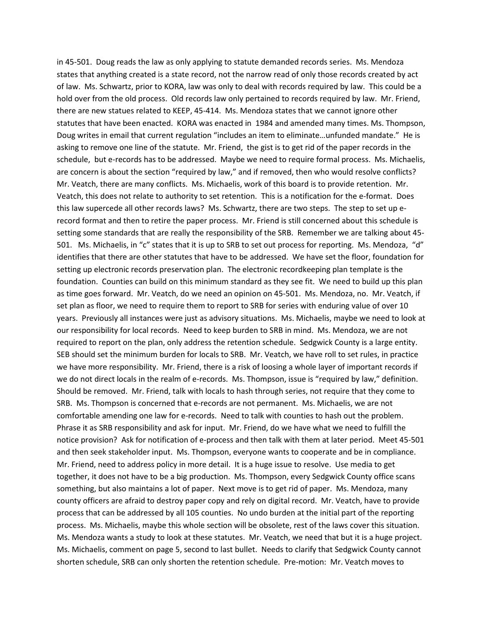in 45-501. Doug reads the law as only applying to statute demanded records series. Ms. Mendoza states that anything created is a state record, not the narrow read of only those records created by act of law. Ms. Schwartz, prior to KORA, law was only to deal with records required by law. This could be a hold over from the old process. Old records law only pertained to records required by law. Mr. Friend, there are new statues related to KEEP, 45-414. Ms. Mendoza states that we cannot ignore other statutes that have been enacted. KORA was enacted in 1984 and amended many times. Ms. Thompson, Doug writes in email that current regulation "includes an item to eliminate…unfunded mandate." He is asking to remove one line of the statute. Mr. Friend, the gist is to get rid of the paper records in the schedule, but e-records has to be addressed. Maybe we need to require formal process. Ms. Michaelis, are concern is about the section "required by law," and if removed, then who would resolve conflicts? Mr. Veatch, there are many conflicts. Ms. Michaelis, work of this board is to provide retention. Mr. Veatch, this does not relate to authority to set retention. This is a notification for the e-format. Does this law supercede all other records laws? Ms. Schwartz, there are two steps. The step to set up erecord format and then to retire the paper process. Mr. Friend is still concerned about this schedule is setting some standards that are really the responsibility of the SRB. Remember we are talking about 45- 501. Ms. Michaelis, in "c" states that it is up to SRB to set out process for reporting. Ms. Mendoza, "d" identifies that there are other statutes that have to be addressed. We have set the floor, foundation for setting up electronic records preservation plan. The electronic recordkeeping plan template is the foundation. Counties can build on this minimum standard as they see fit. We need to build up this plan as time goes forward. Mr. Veatch, do we need an opinion on 45-501. Ms. Mendoza, no. Mr. Veatch, if set plan as floor, we need to require them to report to SRB for series with enduring value of over 10 years. Previously all instances were just as advisory situations. Ms. Michaelis, maybe we need to look at our responsibility for local records. Need to keep burden to SRB in mind. Ms. Mendoza, we are not required to report on the plan, only address the retention schedule. Sedgwick County is a large entity. SEB should set the minimum burden for locals to SRB. Mr. Veatch, we have roll to set rules, in practice we have more responsibility. Mr. Friend, there is a risk of loosing a whole layer of important records if we do not direct locals in the realm of e-records. Ms. Thompson, issue is "required by law," definition. Should be removed. Mr. Friend, talk with locals to hash through series, not require that they come to SRB. Ms. Thompson is concerned that e-records are not permanent. Ms. Michaelis, we are not comfortable amending one law for e-records. Need to talk with counties to hash out the problem. Phrase it as SRB responsibility and ask for input. Mr. Friend, do we have what we need to fulfill the notice provision? Ask for notification of e-process and then talk with them at later period. Meet 45-501 and then seek stakeholder input. Ms. Thompson, everyone wants to cooperate and be in compliance. Mr. Friend, need to address policy in more detail. It is a huge issue to resolve. Use media to get together, it does not have to be a big production. Ms. Thompson, every Sedgwick County office scans something, but also maintains a lot of paper. Next move is to get rid of paper. Ms. Mendoza, many county officers are afraid to destroy paper copy and rely on digital record. Mr. Veatch, have to provide process that can be addressed by all 105 counties. No undo burden at the initial part of the reporting process. Ms. Michaelis, maybe this whole section will be obsolete, rest of the laws cover this situation. Ms. Mendoza wants a study to look at these statutes. Mr. Veatch, we need that but it is a huge project. Ms. Michaelis, comment on page 5, second to last bullet. Needs to clarify that Sedgwick County cannot shorten schedule, SRB can only shorten the retention schedule. Pre-motion: Mr. Veatch moves to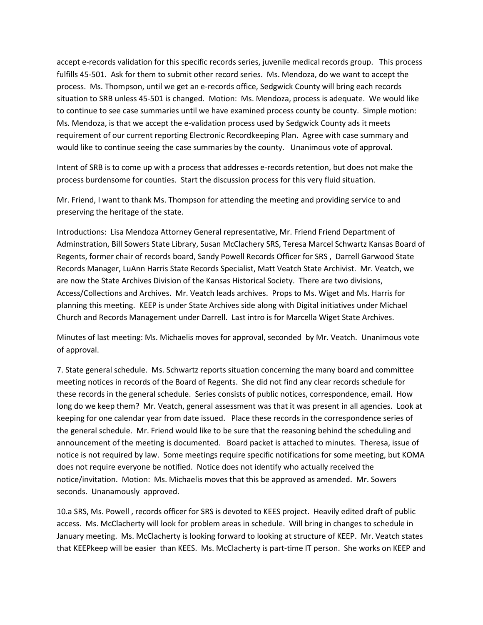accept e-records validation for this specific records series, juvenile medical records group. This process fulfills 45-501. Ask for them to submit other record series. Ms. Mendoza, do we want to accept the process. Ms. Thompson, until we get an e-records office, Sedgwick County will bring each records situation to SRB unless 45-501 is changed. Motion: Ms. Mendoza, process is adequate. We would like to continue to see case summaries until we have examined process county be county. Simple motion: Ms. Mendoza, is that we accept the e-validation process used by Sedgwick County ads it meets requirement of our current reporting Electronic Recordkeeping Plan. Agree with case summary and would like to continue seeing the case summaries by the county. Unanimous vote of approval.

Intent of SRB is to come up with a process that addresses e-records retention, but does not make the process burdensome for counties. Start the discussion process for this very fluid situation.

Mr. Friend, I want to thank Ms. Thompson for attending the meeting and providing service to and preserving the heritage of the state.

Introductions: Lisa Mendoza Attorney General representative, Mr. Friend Friend Department of Adminstration, Bill Sowers State Library, Susan McClachery SRS, Teresa Marcel Schwartz Kansas Board of Regents, former chair of records board, Sandy Powell Records Officer for SRS , Darrell Garwood State Records Manager, LuAnn Harris State Records Specialist, Matt Veatch State Archivist. Mr. Veatch, we are now the State Archives Division of the Kansas Historical Society. There are two divisions, Access/Collections and Archives. Mr. Veatch leads archives. Props to Ms. Wiget and Ms. Harris for planning this meeting. KEEP is under State Archives side along with Digital initiatives under Michael Church and Records Management under Darrell. Last intro is for Marcella Wiget State Archives.

Minutes of last meeting: Ms. Michaelis moves for approval, seconded by Mr. Veatch. Unanimous vote of approval.

7. State general schedule. Ms. Schwartz reports situation concerning the many board and committee meeting notices in records of the Board of Regents. She did not find any clear records schedule for these records in the general schedule. Series consists of public notices, correspondence, email. How long do we keep them? Mr. Veatch, general assessment was that it was present in all agencies. Look at keeping for one calendar year from date issued. Place these records in the correspondence series of the general schedule. Mr. Friend would like to be sure that the reasoning behind the scheduling and announcement of the meeting is documented. Board packet is attached to minutes. Theresa, issue of notice is not required by law. Some meetings require specific notifications for some meeting, but KOMA does not require everyone be notified. Notice does not identify who actually received the notice/invitation. Motion: Ms. Michaelis moves that this be approved as amended. Mr. Sowers seconds. Unanamously approved.

10.a SRS, Ms. Powell , records officer for SRS is devoted to KEES project. Heavily edited draft of public access. Ms. McClacherty will look for problem areas in schedule. Will bring in changes to schedule in January meeting. Ms. McClacherty is looking forward to looking at structure of KEEP. Mr. Veatch states that KEEPkeep will be easier than KEES. Ms. McClacherty is part-time IT person. She works on KEEP and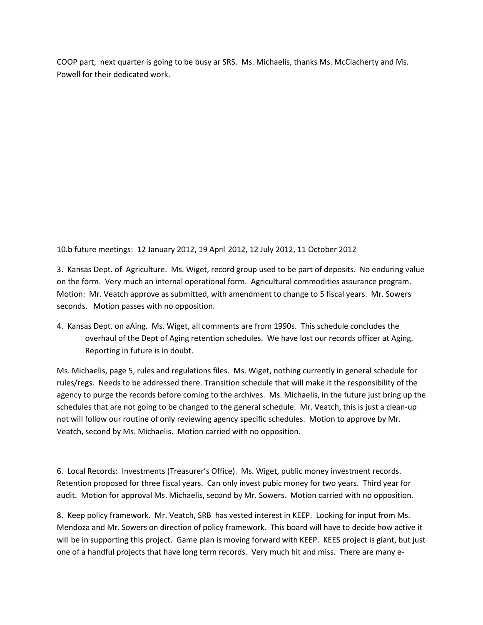COOP part, next quarter is going to be busy ar SRS. Ms. Michaelis, thanks Ms. McClacherty and Ms. Powell for their dedicated work.

10.b future meetings: 12 January 2012, 19 April 2012, 12 July 2012, 11 October 2012

3. Kansas Dept. of Agriculture. Ms. Wiget, record group used to be part of deposits. No enduring value on the form. Very much an internal operational form. Agricultural commodities assurance program. Motion: Mr. Veatch approve as submitted, with amendment to change to 5 fiscal years. Mr. Sowers seconds. Motion passes with no opposition.

4. Kansas Dept. on aAing. Ms. Wiget, all comments are from 1990s. This schedule concludes the overhaul of the Dept of Aging retention schedules. We have lost our records officer at Aging. Reporting in future is in doubt.

Ms. Michaelis, page 5, rules and regulations files. Ms. Wiget, nothing currently in general schedule for rules/regs. Needs to be addressed there. Transition schedule that will make it the responsibility of the agency to purge the records before coming to the archives. Ms. Michaelis, in the future just bring up the schedules that are not going to be changed to the general schedule. Mr. Veatch, this is just a clean-up not will follow our routine of only reviewing agency specific schedules. Motion to approve by Mr. Veatch, second by Ms. Michaelis. Motion carried with no opposition.

6. Local Records: Investments (Treasurer's Office). Ms. Wiget, public money investment records. Retention proposed for three fiscal years. Can only invest pubic money for two years. Third year for audit. Motion for approval Ms. Michaelis, second by Mr. Sowers. Motion carried with no opposition.

8. Keep policy framework. Mr. Veatch, SRB has vested interest in KEEP. Looking for input from Ms. Mendoza and Mr. Sowers on direction of policy framework. This board will have to decide how active it will be in supporting this project. Game plan is moving forward with KEEP. KEES project is giant, but just one of a handful projects that have long term records. Very much hit and miss. There are many e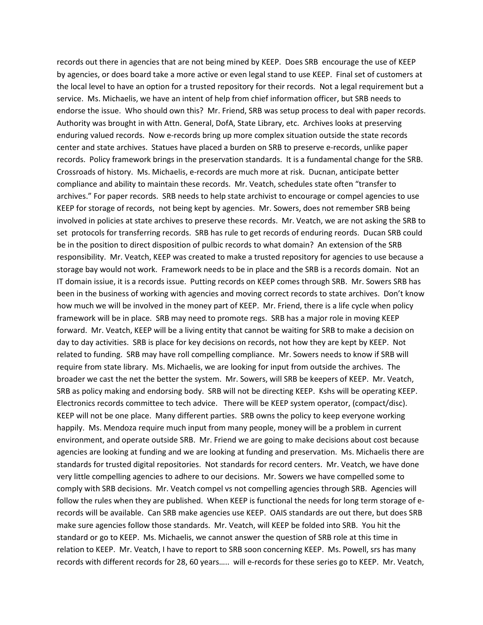records out there in agencies that are not being mined by KEEP. Does SRB encourage the use of KEEP by agencies, or does board take a more active or even legal stand to use KEEP. Final set of customers at the local level to have an option for a trusted repository for their records. Not a legal requirement but a service. Ms. Michaelis, we have an intent of help from chief information officer, but SRB needs to endorse the issue. Who should own this? Mr. Friend, SRB was setup process to deal with paper records. Authority was brought in with Attn. General, DofA, State Library, etc. Archives looks at preserving enduring valued records. Now e-records bring up more complex situation outside the state records center and state archives. Statues have placed a burden on SRB to preserve e-records, unlike paper records. Policy framework brings in the preservation standards. It is a fundamental change for the SRB. Crossroads of history. Ms. Michaelis, e-records are much more at risk. Ducnan, anticipate better compliance and ability to maintain these records. Mr. Veatch, schedules state often "transfer to archives." For paper records. SRB needs to help state archivist to encourage or compel agencies to use KEEP for storage of records, not being kept by agencies. Mr. Sowers, does not remember SRB being involved in policies at state archives to preserve these records. Mr. Veatch, we are not asking the SRB to set protocols for transferring records. SRB has rule to get records of enduring reords. Ducan SRB could be in the position to direct disposition of pulbic records to what domain? An extension of the SRB responsibility. Mr. Veatch, KEEP was created to make a trusted repository for agencies to use because a storage bay would not work. Framework needs to be in place and the SRB is a records domain. Not an IT domain issiue, it is a records issue. Putting records on KEEP comes through SRB. Mr. Sowers SRB has been in the business of working with agencies and moving correct records to state archives. Don't know how much we will be involved in the money part of KEEP. Mr. Friend, there is a life cycle when policy framework will be in place. SRB may need to promote regs. SRB has a major role in moving KEEP forward. Mr. Veatch, KEEP will be a living entity that cannot be waiting for SRB to make a decision on day to day activities. SRB is place for key decisions on records, not how they are kept by KEEP. Not related to funding. SRB may have roll compelling compliance. Mr. Sowers needs to know if SRB will require from state library. Ms. Michaelis, we are looking for input from outside the archives. The broader we cast the net the better the system. Mr. Sowers, will SRB be keepers of KEEP. Mr. Veatch, SRB as policy making and endorsing body. SRB will not be directing KEEP. Kshs will be operating KEEP. Electronics records committee to tech advice. There will be KEEP system operator, (compact/disc). KEEP will not be one place. Many different parties. SRB owns the policy to keep everyone working happily. Ms. Mendoza require much input from many people, money will be a problem in current environment, and operate outside SRB. Mr. Friend we are going to make decisions about cost because agencies are looking at funding and we are looking at funding and preservation. Ms. Michaelis there are standards for trusted digital repositories. Not standards for record centers. Mr. Veatch, we have done very little compelling agencies to adhere to our decisions. Mr. Sowers we have compelled some to comply with SRB decisions. Mr. Veatch compel vs not compelling agencies through SRB. Agencies will follow the rules when they are published. When KEEP is functional the needs for long term storage of erecords will be available. Can SRB make agencies use KEEP. OAIS standards are out there, but does SRB make sure agencies follow those standards. Mr. Veatch, will KEEP be folded into SRB. You hit the standard or go to KEEP. Ms. Michaelis, we cannot answer the question of SRB role at this time in relation to KEEP. Mr. Veatch, I have to report to SRB soon concerning KEEP. Ms. Powell, srs has many records with different records for 28, 60 years….. will e-records for these series go to KEEP. Mr. Veatch,